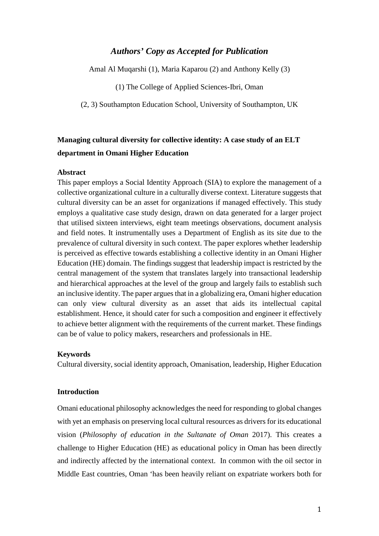# *Authors' Copy as Accepted for Publication*

Amal Al Muqarshi (1), Maria Kaparou (2) and Anthony Kelly (3)

(1) The College of Applied Sciences-Ibri, Oman

(2, 3) Southampton Education School, University of Southampton, UK

# **Managing cultural diversity for collective identity: A case study of an ELT department in Omani Higher Education**

#### **Abstract**

This paper employs a Social Identity Approach (SIA) to explore the management of a collective organizational culture in a culturally diverse context. Literature suggests that cultural diversity can be an asset for organizations if managed effectively. This study employs a qualitative case study design, drawn on data generated for a larger project that utilised sixteen interviews, eight team meetings observations, document analysis and field notes. It instrumentally uses a Department of English as its site due to the prevalence of cultural diversity in such context. The paper explores whether leadership is perceived as effective towards establishing a collective identity in an Omani Higher Education (HE) domain. The findings suggest that leadership impact is restricted by the central management of the system that translates largely into transactional leadership and hierarchical approaches at the level of the group and largely fails to establish such an inclusive identity. The paper argues that in a globalizing era, Omani higher education can only view cultural diversity as an asset that aids its intellectual capital establishment. Hence, it should cater for such a composition and engineer it effectively to achieve better alignment with the requirements of the current market. These findings can be of value to policy makers, researchers and professionals in HE.

#### **Keywords**

Cultural diversity, social identity approach, Omanisation, leadership, Higher Education

#### **Introduction**

Omani educational philosophy acknowledges the need for responding to global changes with yet an emphasis on preserving local cultural resources as drivers for its educational vision (*Philosophy of education in the Sultanate of Oman* 2017). This creates a challenge to Higher Education (HE) as educational policy in Oman has been directly and indirectly affected by the international context. In common with the oil sector in Middle East countries, Oman 'has been heavily reliant on expatriate workers both for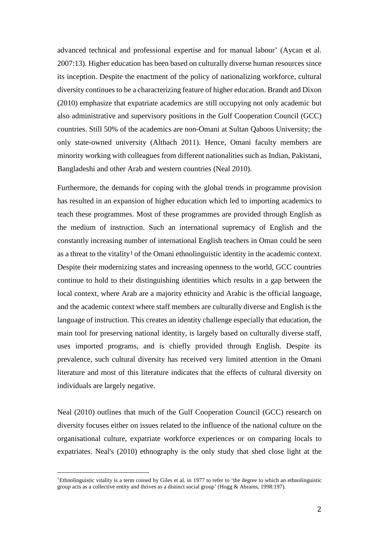advanced technical and professional expertise and for manual labour' (Aycan et al. 2007:13). Higher education has been based on culturally diverse human resources since its inception. Despite the enactment of the policy of nationalizing workforce, cultural diversity continues to be a characterizing feature of higher education. Brandt and Dixon (2010) emphasize that expatriate academics are still occupying not only academic but also administrative and supervisory positions in the Gulf Cooperation Council (GCC) countries. Still 50% of the academics are non-Omani at Sultan Qaboos University; the only state-owned university (Altbach 2011). Hence, Omani faculty members are minority working with colleagues from different nationalities such as Indian, Pakistani, Bangladeshi and other Arab and western countries (Neal 2010).

Furthermore, the demands for coping with the global trends in programme provision has resulted in an expansion of higher education which led to importing academics to teach these programmes. Most of these programmes are provided through English as the medium of instruction. Such an international supremacy of English and the constantly increasing n[um](#page-1-0)ber of international English teachers in Oman could be seen as a threat to the vitality<sup>1</sup> of the Omani ethnolinguistic identity in the academic context. Despite their modernizing states and increasing openness to the world, GCC countries continue to hold to their distinguishing identities which results in a gap between the local context, where Arab are a majority ethnicity and Arabic is the official language, and the academic context where staff members are culturally diverse and English is the language of instruction. This creates an identity challenge especially that education, the main tool for preserving national identity, is largely based on culturally diverse staff, uses imported programs, and is chiefly provided through English. Despite its prevalence, such cultural diversity has received very limited attention in the Omani literature and most of this literature indicates that the effects of cultural diversity on individuals are largely negative.

Neal (2010) outlines that much of the Gulf Cooperation Council (GCC) research on diversity focuses either on issues related to the influence of the national culture on the organisational culture, expatriate workforce experiences or on comparing locals to expatriates. Neal's (2010) ethnography is the only study that shed close light at the

<span id="page-1-0"></span>1 Ethnolinguistic vitality is a term coined by Giles et al. in 1977 to refer to 'the degree to which an ethnolinguistic group acts as a collective entity and thrives as a distinct social group' (Hogg & Abrams, 1998:197).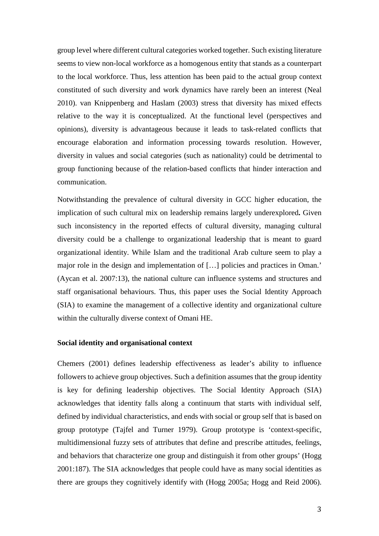group level where different cultural categories worked together. Such existing literature seems to view non-local workforce as a homogenous entity that stands as a counterpart to the local workforce. Thus, less attention has been paid to the actual group context constituted of such diversity and work dynamics have rarely been an interest (Neal 2010). van Knippenberg and Haslam (2003) stress that diversity has mixed effects relative to the way it is conceptualized. At the functional level (perspectives and opinions), diversity is advantageous because it leads to task-related conflicts that encourage elaboration and information processing towards resolution. However, diversity in values and social categories (such as nationality) could be detrimental to group functioning because of the relation-based conflicts that hinder interaction and communication.

Notwithstanding the prevalence of cultural diversity in GCC higher education, the implication of such cultural mix on leadership remains largely underexplored**.** Given such inconsistency in the reported effects of cultural diversity, managing cultural diversity could be a challenge to organizational leadership that is meant to guard organizational identity. While Islam and the traditional Arab culture seem to play a major role in the design and implementation of […] policies and practices in Oman.' (Aycan et al. 2007:13), the national culture can influence systems and structures and staff organisational behaviours. Thus, this paper uses the Social Identity Approach (SIA) to examine the management of a collective identity and organizational culture within the culturally diverse context of Omani HE.

#### **Social identity and organisational context**

Chemers (2001) defines leadership effectiveness as leader's ability to influence followers to achieve group objectives. Such a definition assumes that the group identity is key for defining leadership objectives. The Social Identity Approach (SIA) acknowledges that identity falls along a continuum that starts with individual self, defined by individual characteristics, and ends with social or group self that is based on group prototype (Tajfel and Turner 1979). Group prototype is 'context-specific, multidimensional fuzzy sets of attributes that define and prescribe attitudes, feelings, and behaviors that characterize one group and distinguish it from other groups' (Hogg 2001:187). The SIA acknowledges that people could have as many social identities as there are groups they cognitively identify with (Hogg 2005a; Hogg and Reid 2006).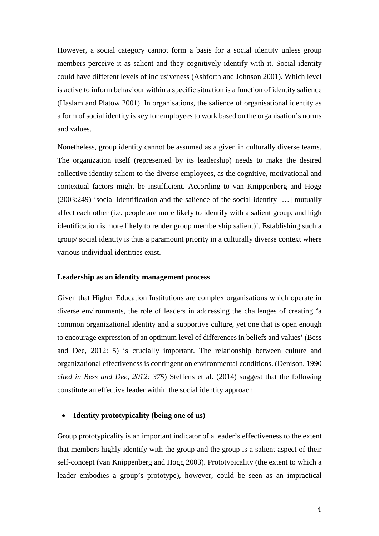However, a social category cannot form a basis for a social identity unless group members perceive it as salient and they cognitively identify with it. Social identity could have different levels of inclusiveness (Ashforth and Johnson 2001). Which level is active to inform behaviour within a specific situation is a function of identity salience (Haslam and Platow 2001). In organisations, the salience of organisational identity as a form of social identity is key for employees to work based on the organisation's norms and values.

Nonetheless, group identity cannot be assumed as a given in culturally diverse teams. The organization itself (represented by its leadership) needs to make the desired collective identity salient to the diverse employees, as the cognitive, motivational and contextual factors might be insufficient. According to van Knippenberg and Hogg (2003:249) 'social identification and the salience of the social identity […] mutually affect each other (i.e. people are more likely to identify with a salient group, and high identification is more likely to render group membership salient)'. Establishing such a group/ social identity is thus a paramount priority in a culturally diverse context where various individual identities exist.

#### **Leadership as an identity management process**

Given that Higher Education Institutions are complex organisations which operate in diverse environments, the role of leaders in addressing the challenges of creating 'a common organizational identity and a supportive culture, yet one that is open enough to encourage expression of an optimum level of differences in beliefs and values' (Bess and Dee, 2012: 5) is crucially important. The relationship between culture and organizational effectiveness is contingent on environmental conditions. (Denison, 1990 *cited in Bess and Dee, 2012: 375*) Steffens et al. (2014) suggest that the following constitute an effective leader within the social identity approach.

#### • **Identity prototypicality (being one of us)**

Group prototypicality is an important indicator of a leader's effectiveness to the extent that members highly identify with the group and the group is a salient aspect of their self-concept (van Knippenberg and Hogg 2003). Prototypicality (the extent to which a leader embodies a group's prototype), however, could be seen as an impractical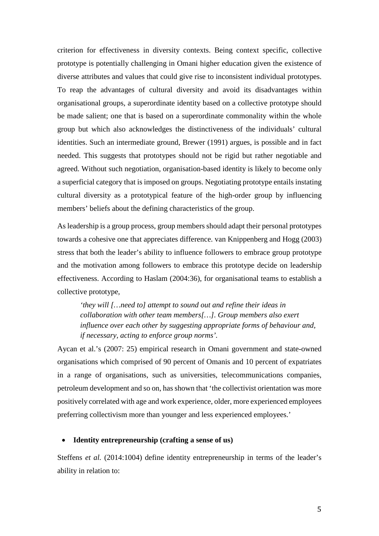criterion for effectiveness in diversity contexts. Being context specific, collective prototype is potentially challenging in Omani higher education given the existence of diverse attributes and values that could give rise to inconsistent individual prototypes. To reap the advantages of cultural diversity and avoid its disadvantages within organisational groups, a superordinate identity based on a collective prototype should be made salient; one that is based on a superordinate commonality within the whole group but which also acknowledges the distinctiveness of the individuals' cultural identities. Such an intermediate ground, Brewer (1991) argues, is possible and in fact needed. This suggests that prototypes should not be rigid but rather negotiable and agreed. Without such negotiation, organisation-based identity is likely to become only a superficial category that is imposed on groups. Negotiating prototype entails instating cultural diversity as a prototypical feature of the high-order group by influencing members' beliefs about the defining characteristics of the group.

As leadership is a group process, group members should adapt their personal prototypes towards a cohesive one that appreciates difference. van Knippenberg and Hogg (2003) stress that both the leader's ability to influence followers to embrace group prototype and the motivation among followers to embrace this prototype decide on leadership effectiveness. According to Haslam (2004:36), for organisational teams to establish a collective prototype,

*'they will […need to] attempt to sound out and refine their ideas in collaboration with other team members[…]. Group members also exert influence over each other by suggesting appropriate forms of behaviour and, if necessary, acting to enforce group norms'.* 

Aycan et al.'s (2007: 25) empirical research in Omani government and state-owned organisations which comprised of 90 percent of Omanis and 10 percent of expatriates in a range of organisations, such as universities, telecommunications companies, petroleum development and so on, has shown that 'the collectivist orientation was more positively correlated with age and work experience, older, more experienced employees preferring collectivism more than younger and less experienced employees.'

### • **Identity entrepreneurship (crafting a sense of us)**

Steffens *et al.* (2014:1004) define identity entrepreneurship in terms of the leader's ability in relation to: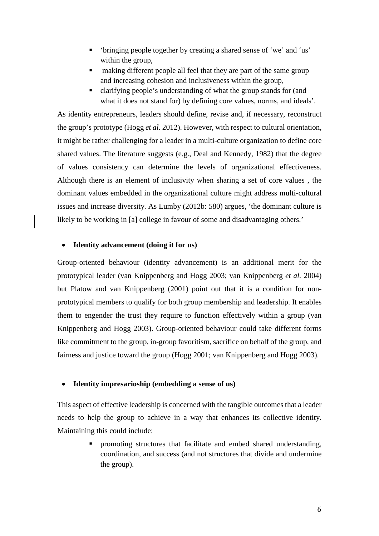- 'bringing people together by creating a shared sense of 'we' and 'us' within the group,
- **Example 1** making different people all feel that they are part of the same group and increasing cohesion and inclusiveness within the group,
- clarifying people's understanding of what the group stands for (and what it does not stand for) by defining core values, norms, and ideals'.

As identity entrepreneurs, leaders should define, revise and, if necessary, reconstruct the group's prototype (Hogg *et al.* 2012). However, with respect to cultural orientation, it might be rather challenging for a leader in a multi-culture organization to define core shared values. The literature suggests (e.g., Deal and Kennedy, 1982) that the degree of values consistency can determine the levels of organizational effectiveness. Although there is an element of inclusivity when sharing a set of core values , the dominant values embedded in the organizational culture might address multi-cultural issues and increase diversity. As Lumby (2012b: 580) argues, 'the dominant culture is likely to be working in [a] college in favour of some and disadvantaging others.'

# • **Identity advancement (doing it for us)**

Group-oriented behaviour (identity advancement) is an additional merit for the prototypical leader (van Knippenberg and Hogg 2003; van Knippenberg *et al.* 2004) but Platow and van Knippenberg (2001) point out that it is a condition for nonprototypical members to qualify for both group membership and leadership. It enables them to engender the trust they require to function effectively within a group (van Knippenberg and Hogg 2003). Group-oriented behaviour could take different forms like commitment to the group, in-group favoritism, sacrifice on behalf of the group, and fairness and justice toward the group (Hogg 2001; van Knippenberg and Hogg 2003).

# • **Identity impresarioship (embedding a sense of us)**

This aspect of effective leadership is concerned with the tangible outcomes that a leader needs to help the group to achieve in a way that enhances its collective identity. Maintaining this could include:

> promoting structures that facilitate and embed shared understanding, coordination, and success (and not structures that divide and undermine the group).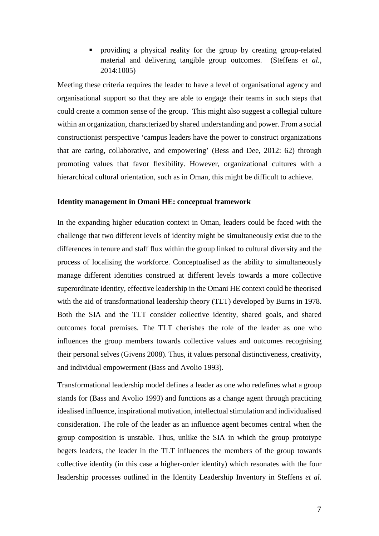providing a physical reality for the group by creating group-related material and delivering tangible group outcomes. (Steffens *et al.*, 2014:1005)

Meeting these criteria requires the leader to have a level of organisational agency and organisational support so that they are able to engage their teams in such steps that could create a common sense of the group. This might also suggest a collegial culture within an organization, characterized by shared understanding and power. From a social constructionist perspective 'campus leaders have the power to construct organizations that are caring, collaborative, and empowering' (Bess and Dee, 2012: 62) through promoting values that favor flexibility. However, organizational cultures with a hierarchical cultural orientation, such as in Oman, this might be difficult to achieve.

#### **Identity management in Omani HE: conceptual framework**

In the expanding higher education context in Oman, leaders could be faced with the challenge that two different levels of identity might be simultaneously exist due to the differences in tenure and staff flux within the group linked to cultural diversity and the process of localising the workforce. Conceptualised as the ability to simultaneously manage different identities construed at different levels towards a more collective superordinate identity, effective leadership in the Omani HE context could be theorised with the aid of transformational leadership theory (TLT) developed by Burns in 1978. Both the SIA and the TLT consider collective identity, shared goals, and shared outcomes focal premises. The TLT cherishes the role of the leader as one who influences the group members towards collective values and outcomes recognising their personal selves (Givens 2008). Thus, it values personal distinctiveness, creativity, and individual empowerment (Bass and Avolio 1993).

Transformational leadership model defines a leader as one who redefines what a group stands for (Bass and Avolio 1993) and functions as a change agent through practicing idealised influence, inspirational motivation, intellectual stimulation and individualised consideration. The role of the leader as an influence agent becomes central when the group composition is unstable. Thus, unlike the SIA in which the group prototype begets leaders, the leader in the TLT influences the members of the group towards collective identity (in this case a higher-order identity) which resonates with the four leadership processes outlined in the Identity Leadership Inventory in Steffens *et al.*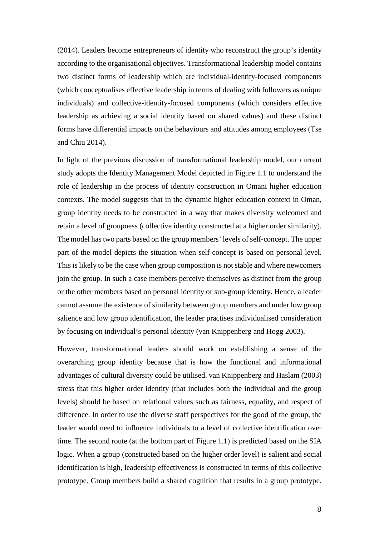(2014). Leaders become entrepreneurs of identity who reconstruct the group's identity according to the organisational objectives. Transformational leadership model contains two distinct forms of leadership which are individual-identity-focused components (which conceptualises effective leadership in terms of dealing with followers as unique individuals) and collective-identity-focused components (which considers effective leadership as achieving a social identity based on shared values) and these distinct forms have differential impacts on the behaviours and attitudes among employees (Tse and Chiu 2014).

In light of the previous discussion of transformational leadership model, our current study adopts the Identity Management Model depicted in Figure 1.1 to understand the role of leadership in the process of identity construction in Omani higher education contexts. The model suggests that in the dynamic higher education context in Oman, group identity needs to be constructed in a way that makes diversity welcomed and retain a level of groupness (collective identity constructed at a higher order similarity). The model has two parts based on the group members' levels of self-concept. The upper part of the model depicts the situation when self-concept is based on personal level. This is likely to be the case when group composition is not stable and where newcomers join the group. In such a case members perceive themselves as distinct from the group or the other members based on personal identity or sub-group identity. Hence, a leader cannot assume the existence of similarity between group members and under low group salience and low group identification, the leader practises individualised consideration by focusing on individual's personal identity (van Knippenberg and Hogg 2003).

However, transformational leaders should work on establishing a sense of the overarching group identity because that is how the functional and informational advantages of cultural diversity could be utilised. van Knippenberg and Haslam (2003) stress that this higher order identity (that includes both the individual and the group levels) should be based on relational values such as fairness, equality, and respect of difference. In order to use the diverse staff perspectives for the good of the group, the leader would need to influence individuals to a level of collective identification over time. The second route (at the bottom part of Figure 1.1) is predicted based on the SIA logic. When a group (constructed based on the higher order level) is salient and social identification is high, leadership effectiveness is constructed in terms of this collective prototype. Group members build a shared cognition that results in a group prototype.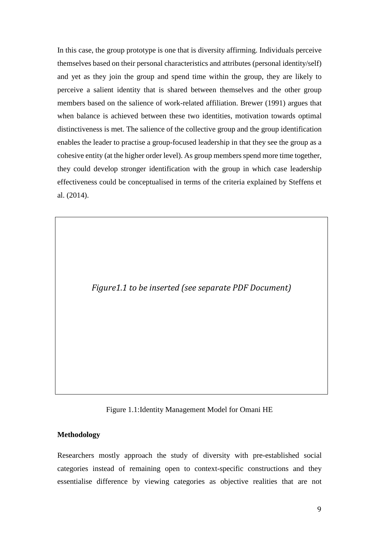In this case, the group prototype is one that is diversity affirming. Individuals perceive themselves based on their personal characteristics and attributes (personal identity/self) and yet as they join the group and spend time within the group, they are likely to perceive a salient identity that is shared between themselves and the other group members based on the salience of work-related affiliation. Brewer (1991) argues that when balance is achieved between these two identities, motivation towards optimal distinctiveness is met. The salience of the collective group and the group identification enables the leader to practise a group-focused leadership in that they see the group as a cohesive entity (at the higher order level). As group members spend more time together, they could develop stronger identification with the group in which case leadership effectiveness could be conceptualised in terms of the criteria explained by Steffens et al. (2014).

*Figure1.1 to be inserted (see separate PDF Document)*

# Figure 1.1:Identity Management Model for Omani HE

### **Methodology**

Researchers mostly approach the study of diversity with pre-established social categories instead of remaining open to context-specific constructions and they essentialise difference by viewing categories as objective realities that are not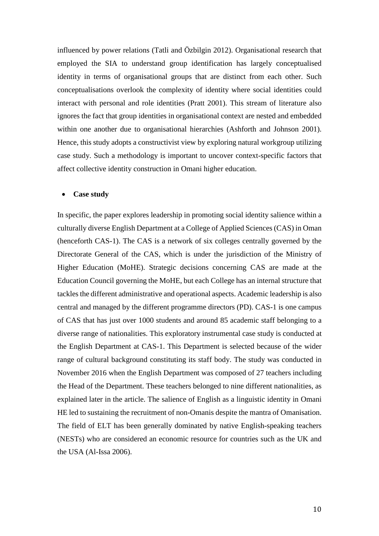influenced by power relations (Tatli and Özbilgin 2012). Organisational research that employed the SIA to understand group identification has largely conceptualised identity in terms of organisational groups that are distinct from each other. Such conceptualisations overlook the complexity of identity where social identities could interact with personal and role identities (Pratt 2001). This stream of literature also ignores the fact that group identities in organisational context are nested and embedded within one another due to organisational hierarchies (Ashforth and Johnson 2001). Hence, this study adopts a constructivist view by exploring natural workgroup utilizing case study. Such a methodology is important to uncover context-specific factors that affect collective identity construction in Omani higher education.

#### • **Case study**

In specific, the paper explores leadership in promoting social identity salience within a culturally diverse English Department at a College of Applied Sciences (CAS) in Oman (henceforth CAS-1). The CAS is a network of six colleges centrally governed by the Directorate General of the CAS, which is under the jurisdiction of the Ministry of Higher Education (MoHE). Strategic decisions concerning CAS are made at the Education Council governing the MoHE, but each College has an internal structure that tackles the different administrative and operational aspects. Academic leadership is also central and managed by the different programme directors (PD). CAS-1 is one campus of CAS that has just over 1000 students and around 85 academic staff belonging to a diverse range of nationalities. This exploratory instrumental case study is conducted at the English Department at CAS-1. This Department is selected because of the wider range of cultural background constituting its staff body. The study was conducted in November 2016 when the English Department was composed of 27 teachers including the Head of the Department. These teachers belonged to nine different nationalities, as explained later in the article. The salience of English as a linguistic identity in Omani HE led to sustaining the recruitment of non-Omanis despite the mantra of Omanisation. The field of ELT has been generally dominated by native English-speaking teachers (NESTs) who are considered an economic resource for countries such as the UK and the USA (Al-Issa 2006).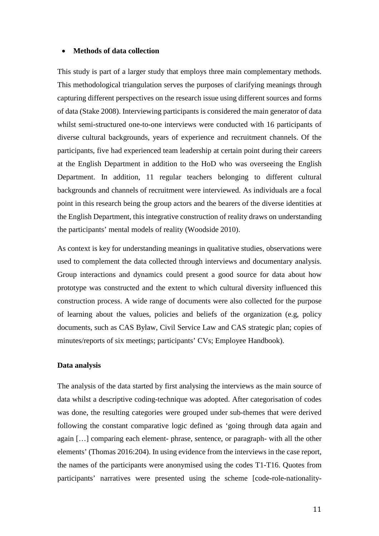#### • **Methods of data collection**

This study is part of a larger study that employs three main complementary methods. This methodological triangulation serves the purposes of clarifying meanings through capturing different perspectives on the research issue using different sources and forms of data (Stake 2008). Interviewing participants is considered the main generator of data whilst semi-structured one-to-one interviews were conducted with 16 participants of diverse cultural backgrounds, years of experience and recruitment channels. Of the participants, five had experienced team leadership at certain point during their careers at the English Department in addition to the HoD who was overseeing the English Department. In addition, 11 regular teachers belonging to different cultural backgrounds and channels of recruitment were interviewed. As individuals are a focal point in this research being the group actors and the bearers of the diverse identities at the English Department, this integrative construction of reality draws on understanding the participants' mental models of reality (Woodside 2010).

As context is key for understanding meanings in qualitative studies, observations were used to complement the data collected through interviews and documentary analysis. Group interactions and dynamics could present a good source for data about how prototype was constructed and the extent to which cultural diversity influenced this construction process. A wide range of documents were also collected for the purpose of learning about the values, policies and beliefs of the organization (e.g, policy documents, such as CAS Bylaw, Civil Service Law and CAS strategic plan; copies of minutes/reports of six meetings; participants' CVs; Employee Handbook).

#### **Data analysis**

The analysis of the data started by first analysing the interviews as the main source of data whilst a descriptive coding-technique was adopted. After categorisation of codes was done, the resulting categories were grouped under sub-themes that were derived following the constant comparative logic defined as 'going through data again and again […] comparing each element- phrase, sentence, or paragraph- with all the other elements' (Thomas 2016:204). In using evidence from the interviews in the case report, the names of the participants were anonymised using the codes T1-T16. Quotes from participants' narratives were presented using the scheme [code-role-nationality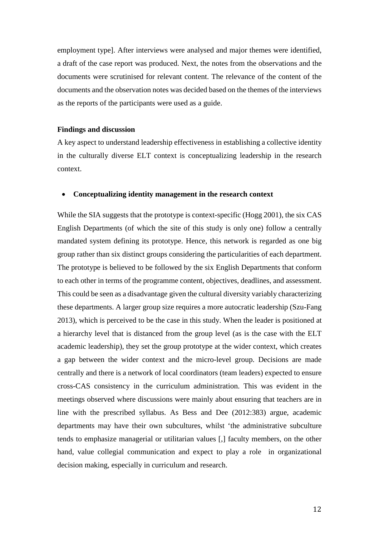employment type]. After interviews were analysed and major themes were identified, a draft of the case report was produced. Next, the notes from the observations and the documents were scrutinised for relevant content. The relevance of the content of the documents and the observation notes was decided based on the themes of the interviews as the reports of the participants were used as a guide.

#### **Findings and discussion**

A key aspect to understand leadership effectiveness in establishing a collective identity in the culturally diverse ELT context is conceptualizing leadership in the research context.

#### • **Conceptualizing identity management in the research context**

While the SIA suggests that the prototype is context-specific (Hogg 2001), the six CAS English Departments (of which the site of this study is only one) follow a centrally mandated system defining its prototype. Hence, this network is regarded as one big group rather than six distinct groups considering the particularities of each department. The prototype is believed to be followed by the six English Departments that conform to each other in terms of the programme content, objectives, deadlines, and assessment. This could be seen as a disadvantage given the cultural diversity variably characterizing these departments. A larger group size requires a more autocratic leadership (Szu-Fang 2013), which is perceived to be the case in this study. When the leader is positioned at a hierarchy level that is distanced from the group level (as is the case with the ELT academic leadership), they set the group prototype at the wider context, which creates a gap between the wider context and the micro-level group. Decisions are made centrally and there is a network of local coordinators (team leaders) expected to ensure cross-CAS consistency in the curriculum administration. This was evident in the meetings observed where discussions were mainly about ensuring that teachers are in line with the prescribed syllabus. As Bess and Dee (2012:383) argue, academic departments may have their own subcultures, whilst 'the administrative subculture tends to emphasize managerial or utilitarian values [,] faculty members, on the other hand, value collegial communication and expect to play a role in organizational decision making, especially in curriculum and research.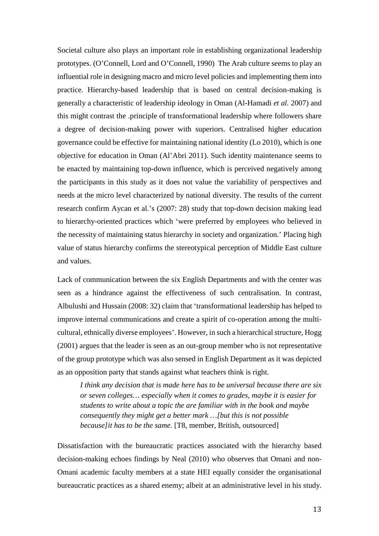Societal culture also plays an important role in establishing organizational leadership prototypes. (O'Connell, Lord and O'Connell, 1990) The Arab culture seems to play an influential role in designing macro and micro level policies and implementing them into practice. Hierarchy-based leadership that is based on central decision-making is generally a characteristic of leadership ideology in Oman (Al-Hamadi *et al.* 2007) and this might contrast the .principle of transformational leadership where followers share a degree of decision-making power with superiors. Centralised higher education governance could be effective for maintaining national identity (Lo 2010), which is one objective for education in Oman (Al'Abri 2011). Such identity maintenance seems to be enacted by maintaining top-down influence, which is perceived negatively among the participants in this study as it does not value the variability of perspectives and needs at the micro level characterized by national diversity. The results of the current research confirm Aycan et al.'s (2007: 28) study that top-down decision making lead to hierarchy-oriented practices which 'were preferred by employees who believed in the necessity of maintaining status hierarchy in society and organization.' Placing high value of status hierarchy confirms the stereotypical perception of Middle East culture and values.

Lack of communication between the six English Departments and with the center was seen as a hindrance against the effectiveness of such centralisation. In contrast, Albulushi and Hussain (2008: 32) claim that 'transformational leadership has helped to improve internal communications and create a spirit of co-operation among the multicultural, ethnically diverse employees'. However, in such a hierarchical structure, Hogg (2001) argues that the leader is seen as an out-group member who is not representative of the group prototype which was also sensed in English Department as it was depicted as an opposition party that stands against what teachers think is right.

*I think any decision that is made here has to be universal because there are six or seven colleges… especially when it comes to grades, maybe it is easier for students to write about a topic the are familiar with in the book and maybe consequently they might get a better mark …[but this is not possible because]it has to be the same.* [T8, member, British, outsourced]

Dissatisfaction with the bureaucratic practices associated with the hierarchy based decision-making echoes findings by Neal (2010) who observes that Omani and non-Omani academic faculty members at a state HEI equally consider the organisational bureaucratic practices as a shared enemy; albeit at an administrative level in his study.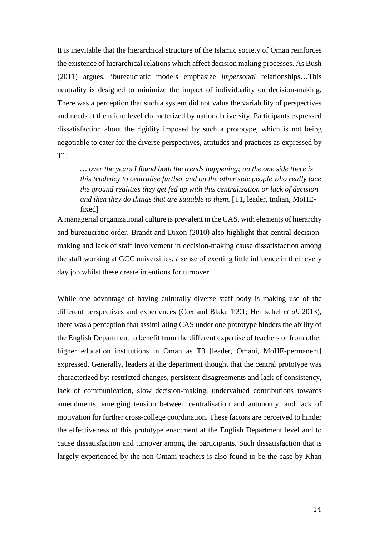It is inevitable that the hierarchical structure of the Islamic society of Oman reinforces the existence of hierarchical relations which affect decision making processes. As Bush (2011) argues, 'bureaucratic models emphasize *impersonal* relationships…This neutrality is designed to minimize the impact of individuality on decision-making. There was a perception that such a system did not value the variability of perspectives and needs at the micro level characterized by national diversity. Participants expressed dissatisfaction about the rigidity imposed by such a prototype, which is not being negotiable to cater for the diverse perspectives, attitudes and practices as expressed by T1:

*… over the years I found both the trends happening; on the one side there is this tendency to centralise further and on the other side people who really face the ground realities they get fed up with this centralisation or lack of decision and then they do things that are suitable to them.* [T1, leader, Indian, MoHEfixed]

A managerial organizational culture is prevalent in the CAS, with elements of hierarchy and bureaucratic order. Brandt and Dixon (2010) also highlight that central decisionmaking and lack of staff involvement in decision-making cause dissatisfaction among the staff working at GCC universities, a sense of exerting little influence in their every day job whilst these create intentions for turnover.

While one advantage of having culturally diverse staff body is making use of the different perspectives and experiences (Cox and Blake 1991; Hentschel *et al.* 2013), there was a perception that assimilating CAS under one prototype hinders the ability of the English Department to benefit from the different expertise of teachers or from other higher education institutions in Oman as T3 [leader, Omani, MoHE-permanent] expressed. Generally, leaders at the department thought that the central prototype was characterized by: restricted changes, persistent disagreements and lack of consistency, lack of communication, slow decision-making, undervalued contributions towards amendments, emerging tension between centralisation and autonomy, and lack of motivation for further cross-college coordination. These factors are perceived to hinder the effectiveness of this prototype enactment at the English Department level and to cause dissatisfaction and turnover among the participants. Such dissatisfaction that is largely experienced by the non-Omani teachers is also found to be the case by Khan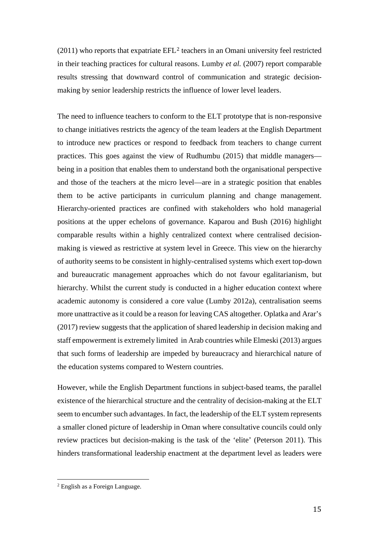(2011) who reports that expatriate EFL[2](#page-14-0) teachers in an Omani university feel restricted in their teaching practices for cultural reasons. Lumby *et al.* (2007) report comparable results stressing that downward control of communication and strategic decisionmaking by senior leadership restricts the influence of lower level leaders.

The need to influence teachers to conform to the ELT prototype that is non-responsive to change initiatives restricts the agency of the team leaders at the English Department to introduce new practices or respond to feedback from teachers to change current practices. This goes against the view of Rudhumbu (2015) that middle managers being in a position that enables them to understand both the organisational perspective and those of the teachers at the micro level—are in a strategic position that enables them to be active participants in curriculum planning and change management. Hierarchy-oriented practices are confined with stakeholders who hold managerial positions at the upper echelons of governance. Kaparou and Bush (2016) highlight comparable results within a highly centralized context where centralised decisionmaking is viewed as restrictive at system level in Greece. This view on the hierarchy of authority seems to be consistent in highly-centralised systems which exert top-down and bureaucratic management approaches which do not favour egalitarianism, but hierarchy. Whilst the current study is conducted in a higher education context where academic autonomy is considered a core value (Lumby 2012a), centralisation seems more unattractive as it could be a reason for leaving CAS altogether. Oplatka and Arar's (2017) review suggests that the application of shared leadership in decision making and staff empowerment is extremely limited in Arab countries while Elmeski (2013) argues that such forms of leadership are impeded by bureaucracy and hierarchical nature of the education systems compared to Western countries.

However, while the English Department functions in subject-based teams, the parallel existence of the hierarchical structure and the centrality of decision-making at the ELT seem to encumber such advantages. In fact, the leadership of the ELT system represents a smaller cloned picture of leadership in Oman where consultative councils could only review practices but decision-making is the task of the 'elite' (Peterson 2011). This hinders transformational leadership enactment at the department level as leaders were

<span id="page-14-0"></span><sup>2</sup> English as a Foreign Language.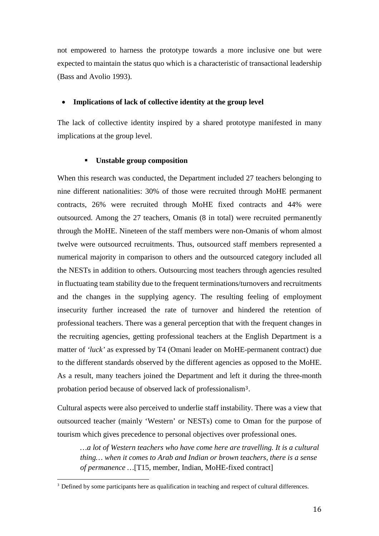not empowered to harness the prototype towards a more inclusive one but were expected to maintain the status quo which is a characteristic of transactional leadership (Bass and Avolio 1993).

# • **Implications of lack of collective identity at the group level**

The lack of collective identity inspired by a shared prototype manifested in many implications at the group level.

# **Unstable group composition**

When this research was conducted, the Department included 27 teachers belonging to nine different nationalities: 30% of those were recruited through MoHE permanent contracts, 26% were recruited through MoHE fixed contracts and 44% were outsourced. Among the 27 teachers, Omanis (8 in total) were recruited permanently through the MoHE. Nineteen of the staff members were non-Omanis of whom almost twelve were outsourced recruitments. Thus, outsourced staff members represented a numerical majority in comparison to others and the outsourced category included all the NESTs in addition to others. Outsourcing most teachers through agencies resulted in fluctuating team stability due to the frequent terminations/turnovers and recruitments and the changes in the supplying agency. The resulting feeling of employment insecurity further increased the rate of turnover and hindered the retention of professional teachers. There was a general perception that with the frequent changes in the recruiting agencies, getting professional teachers at the English Department is a matter of *'luck'* as expressed by T4 (Omani leader on MoHE-permanent contract) due to the different standards observed by the different agencies as opposed to the MoHE. As a result, many teachers joined the Department and left i[t](#page-15-0) during the three-month probation period because of observed lack of professionalism3.

Cultural aspects were also perceived to underlie staff instability. There was a view that outsourced teacher (mainly 'Western' or NESTs) come to Oman for the purpose of tourism which gives precedence to personal objectives over professional ones.

*…a lot of Western teachers who have come here are travelling. It is a cultural thing… when it comes to Arab and Indian or brown teachers, there is a sense of permanence …*[T15, member, Indian, MoHE-fixed contract]

<span id="page-15-0"></span><sup>&</sup>lt;sup>3</sup> Defined by some participants here as qualification in teaching and respect of cultural differences.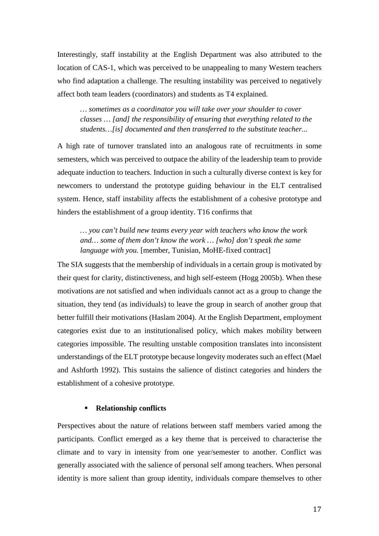Interestingly, staff instability at the English Department was also attributed to the location of CAS-1, which was perceived to be unappealing to many Western teachers who find adaptation a challenge. The resulting instability was perceived to negatively affect both team leaders (coordinators) and students as T4 explained.

*… sometimes as a coordinator you will take over your shoulder to cover classes … [and] the responsibility of ensuring that everything related to the students…[is] documented and then transferred to the substitute teacher...* 

A high rate of turnover translated into an analogous rate of recruitments in some semesters, which was perceived to outpace the ability of the leadership team to provide adequate induction to teachers. Induction in such a culturally diverse context is key for newcomers to understand the prototype guiding behaviour in the ELT centralised system. Hence, staff instability affects the establishment of a cohesive prototype and hinders the establishment of a group identity. T16 confirms that

*… you can't build new teams every year with teachers who know the work and… some of them don't know the work … [who] don't speak the same language with you.* [member, Tunisian, MoHE-fixed contract]

The SIA suggests that the membership of individuals in a certain group is motivated by their quest for clarity, distinctiveness, and high self-esteem (Hogg 2005b). When these motivations are not satisfied and when individuals cannot act as a group to change the situation, they tend (as individuals) to leave the group in search of another group that better fulfill their motivations (Haslam 2004). At the English Department, employment categories exist due to an institutionalised policy, which makes mobility between categories impossible. The resulting unstable composition translates into inconsistent understandings of the ELT prototype because longevity moderates such an effect (Mael and Ashforth 1992). This sustains the salience of distinct categories and hinders the establishment of a cohesive prototype.

# **Relationship conflicts**

Perspectives about the nature of relations between staff members varied among the participants. Conflict emerged as a key theme that is perceived to characterise the climate and to vary in intensity from one year/semester to another. Conflict was generally associated with the salience of personal self among teachers. When personal identity is more salient than group identity, individuals compare themselves to other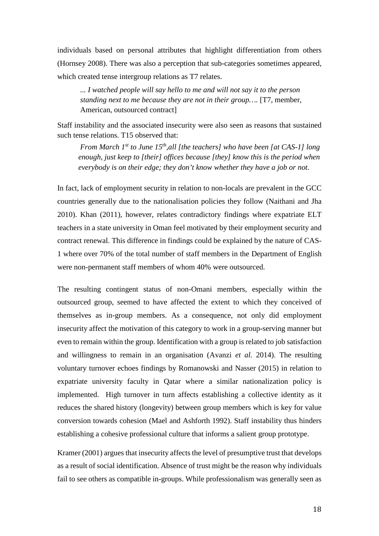individuals based on personal attributes that highlight differentiation from others (Hornsey 2008). There was also a perception that sub-categories sometimes appeared, which created tense intergroup relations as T7 relates.

*... I watched people will say hello to me and will not say it to the person standing next to me because they are not in their group….* [T7, member, American, outsourced contract]

Staff instability and the associated insecurity were also seen as reasons that sustained such tense relations. T15 observed that:

 *From March 1st to June 15th,all [the teachers] who have been [at CAS-1] long enough, just keep to [their] offices because [they] know this is the period when everybody is on their edge; they don't know whether they have a job or not.*

In fact, lack of employment security in relation to non-locals are prevalent in the GCC countries generally due to the nationalisation policies they follow (Naithani and Jha 2010). Khan (2011), however, relates contradictory findings where expatriate ELT teachers in a state university in Oman feel motivated by their employment security and contract renewal. This difference in findings could be explained by the nature of CAS-1 where over 70% of the total number of staff members in the Department of English were non-permanent staff members of whom 40% were outsourced.

The resulting contingent status of non-Omani members, especially within the outsourced group, seemed to have affected the extent to which they conceived of themselves as in-group members. As a consequence, not only did employment insecurity affect the motivation of this category to work in a group-serving manner but even to remain within the group. Identification with a group is related to job satisfaction and willingness to remain in an organisation (Avanzi *et al.* 2014). The resulting voluntary turnover echoes findings by Romanowski and Nasser (2015) in relation to expatriate university faculty in Qatar where a similar nationalization policy is implemented. High turnover in turn affects establishing a collective identity as it reduces the shared history (longevity) between group members which is key for value conversion towards cohesion (Mael and Ashforth 1992). Staff instability thus hinders establishing a cohesive professional culture that informs a salient group prototype.

Kramer (2001) argues that insecurity affects the level of presumptive trust that develops as a result of social identification. Absence of trust might be the reason why individuals fail to see others as compatible in-groups. While professionalism was generally seen as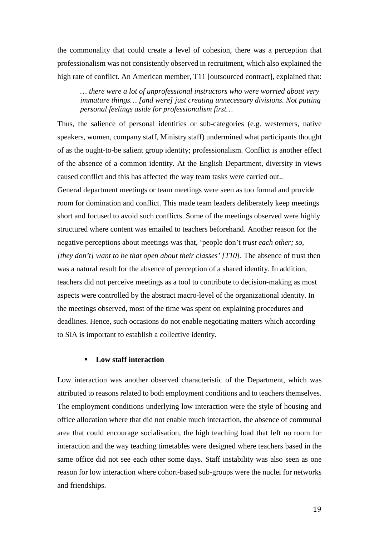the commonality that could create a level of cohesion, there was a perception that professionalism was not consistently observed in recruitment, which also explained the high rate of conflict. An American member, T11 [outsourced contract], explained that:

*… there were a lot of unprofessional instructors who were worried about very immature things… [and were] just creating unnecessary divisions. Not putting personal feelings aside for professionalism first…*

Thus, the salience of personal identities or sub-categories (e.g. westerners, native speakers, women, company staff, Ministry staff) undermined what participants thought of as the ought-to-be salient group identity; professionalism. Conflict is another effect of the absence of a common identity. At the English Department, diversity in views caused conflict and this has affected the way team tasks were carried out..

General department meetings or team meetings were seen as too formal and provide room for domination and conflict. This made team leaders deliberately keep meetings short and focused to avoid such conflicts. Some of the meetings observed were highly structured where content was emailed to teachers beforehand. Another reason for the negative perceptions about meetings was that, 'people don't *trust each other; so, [they don't] want to be that open about their classes' [T10].* The absence of trust then was a natural result for the absence of perception of a shared identity. In addition, teachers did not perceive meetings as a tool to contribute to decision-making as most aspects were controlled by the abstract macro-level of the organizational identity. In the meetings observed, most of the time was spent on explaining procedures and deadlines. Hence, such occasions do not enable negotiating matters which according to SIA is important to establish a collective identity.

# **Low staff interaction**

Low interaction was another observed characteristic of the Department, which was attributed to reasons related to both employment conditions and to teachers themselves. The employment conditions underlying low interaction were the style of housing and office allocation where that did not enable much interaction, the absence of communal area that could encourage socialisation, the high teaching load that left no room for interaction and the way teaching timetables were designed where teachers based in the same office did not see each other some days. Staff instability was also seen as one reason for low interaction where cohort-based sub-groups were the nuclei for networks and friendships.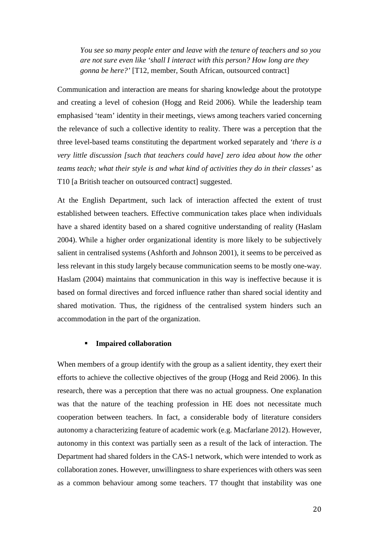*You see so many people enter and leave with the tenure of teachers and so you are not sure even like 'shall I interact with this person? How long are they gonna be here?'* [T12, member, South African, outsourced contract]

Communication and interaction are means for sharing knowledge about the prototype and creating a level of cohesion (Hogg and Reid 2006). While the leadership team emphasised 'team' identity in their meetings, views among teachers varied concerning the relevance of such a collective identity to reality. There was a perception that the three level-based teams constituting the department worked separately and *'there is a very little discussion [such that teachers could have] zero idea about how the other teams teach; what their style is and what kind of activities they do in their classes'* as T10 [a British teacher on outsourced contract] suggested.

At the English Department, such lack of interaction affected the extent of trust established between teachers. Effective communication takes place when individuals have a shared identity based on a shared cognitive understanding of reality (Haslam 2004). While a higher order organizational identity is more likely to be subjectively salient in centralised systems (Ashforth and Johnson 2001), it seems to be perceived as less relevant in this study largely because communication seems to be mostly one-way. Haslam (2004) maintains that communication in this way is ineffective because it is based on formal directives and forced influence rather than shared social identity and shared motivation. Thus, the rigidness of the centralised system hinders such an accommodation in the part of the organization.

#### **Impaired collaboration**

When members of a group identify with the group as a salient identity, they exert their efforts to achieve the collective objectives of the group (Hogg and Reid 2006). In this research, there was a perception that there was no actual groupness. One explanation was that the nature of the teaching profession in HE does not necessitate much cooperation between teachers. In fact, a considerable body of literature considers autonomy a characterizing feature of academic work (e.g. Macfarlane 2012). However, autonomy in this context was partially seen as a result of the lack of interaction. The Department had shared folders in the CAS-1 network, which were intended to work as collaboration zones. However, unwillingness to share experiences with others was seen as a common behaviour among some teachers. T7 thought that instability was one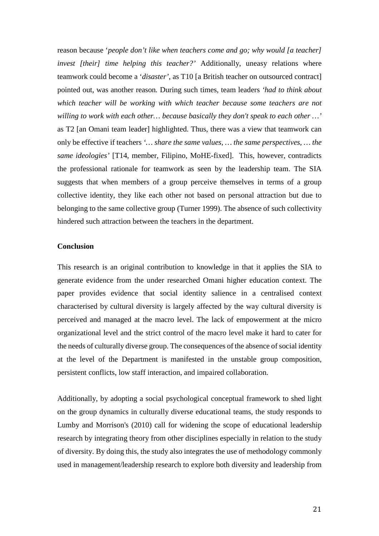reason because '*people don't like when teachers come and go; why would [a teacher] invest [their] time helping this teacher?'* Additionally, uneasy relations where teamwork could become a '*disaster'*, as T10 [a British teacher on outsourced contract] pointed out, was another reason*.* During such times, team leaders *'had to think about which teacher will be working with which teacher because some teachers are not willing to work with each other… because basically they don't speak to each other …'*  as T2 [an Omani team leader] highlighted. Thus, there was a view that teamwork can only be effective if teachers *'… share the same values, … the same perspectives, … the same ideologies'* [T14, member, Filipino, MoHE-fixed]. This, however, contradicts the professional rationale for teamwork as seen by the leadership team. The SIA suggests that when members of a group perceive themselves in terms of a group collective identity, they like each other not based on personal attraction but due to belonging to the same collective group (Turner 1999). The absence of such collectivity hindered such attraction between the teachers in the department.

### **Conclusion**

This research is an original contribution to knowledge in that it applies the SIA to generate evidence from the under researched Omani higher education context. The paper provides evidence that social identity salience in a centralised context characterised by cultural diversity is largely affected by the way cultural diversity is perceived and managed at the macro level. The lack of empowerment at the micro organizational level and the strict control of the macro level make it hard to cater for the needs of culturally diverse group. The consequences of the absence of social identity at the level of the Department is manifested in the unstable group composition, persistent conflicts, low staff interaction, and impaired collaboration.

Additionally, by adopting a social psychological conceptual framework to shed light on the group dynamics in culturally diverse educational teams, the study responds to Lumby and Morrison's (2010) call for widening the scope of educational leadership research by integrating theory from other disciplines especially in relation to the study of diversity. By doing this, the study also integrates the use of methodology commonly used in management/leadership research to explore both diversity and leadership from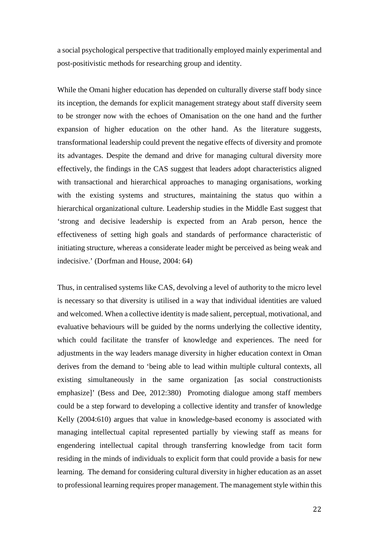a social psychological perspective that traditionally employed mainly experimental and post-positivistic methods for researching group and identity.

While the Omani higher education has depended on culturally diverse staff body since its inception, the demands for explicit management strategy about staff diversity seem to be stronger now with the echoes of Omanisation on the one hand and the further expansion of higher education on the other hand. As the literature suggests, transformational leadership could prevent the negative effects of diversity and promote its advantages. Despite the demand and drive for managing cultural diversity more effectively, the findings in the CAS suggest that leaders adopt characteristics aligned with transactional and hierarchical approaches to managing organisations, working with the existing systems and structures, maintaining the status quo within a hierarchical organizational culture. Leadership studies in the Middle East suggest that 'strong and decisive leadership is expected from an Arab person, hence the effectiveness of setting high goals and standards of performance characteristic of initiating structure, whereas a considerate leader might be perceived as being weak and indecisive.' (Dorfman and House, 2004: 64)

Thus, in centralised systems like CAS, devolving a level of authority to the micro level is necessary so that diversity is utilised in a way that individual identities are valued and welcomed. When a collective identity is made salient, perceptual, motivational, and evaluative behaviours will be guided by the norms underlying the collective identity, which could facilitate the transfer of knowledge and experiences. The need for adjustments in the way leaders manage diversity in higher education context in Oman derives from the demand to 'being able to lead within multiple cultural contexts, all existing simultaneously in the same organization [as social constructionists emphasize]' (Bess and Dee, 2012:380) Promoting dialogue among staff members could be a step forward to developing a collective identity and transfer of knowledge Kelly (2004:610) argues that value in knowledge-based economy is associated with managing intellectual capital represented partially by viewing staff as means for engendering intellectual capital through transferring knowledge from tacit form residing in the minds of individuals to explicit form that could provide a basis for new learning. The demand for considering cultural diversity in higher education as an asset to professional learning requires proper management. The management style within this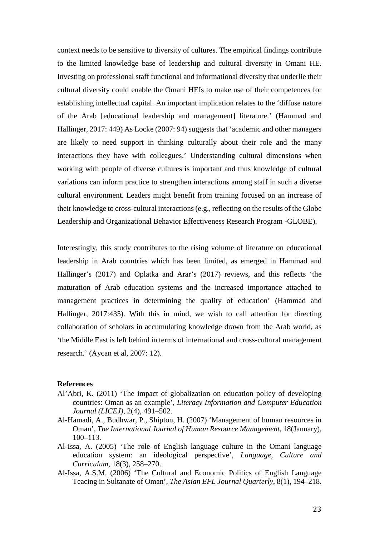context needs to be sensitive to diversity of cultures. The empirical findings contribute to the limited knowledge base of leadership and cultural diversity in Omani HE. Investing on professional staff functional and informational diversity that underlie their cultural diversity could enable the Omani HEIs to make use of their competences for establishing intellectual capital. An important implication relates to the 'diffuse nature of the Arab [educational leadership and management] literature.' (Hammad and Hallinger, 2017: 449) As Locke (2007: 94) suggests that 'academic and other managers are likely to need support in thinking culturally about their role and the many interactions they have with colleagues.' Understanding cultural dimensions when working with people of diverse cultures is important and thus knowledge of cultural variations can inform practice to strengthen interactions among staff in such a diverse cultural environment. Leaders might benefit from training focused on an increase of their knowledge to cross-cultural interactions (e.g., reflecting on the results of the Globe Leadership and Organizational Behavior Effectiveness Research Program -GLOBE).

Interestingly, this study contributes to the rising volume of literature on educational leadership in Arab countries which has been limited, as emerged in Hammad and Hallinger's (2017) and Oplatka and Arar's (2017) reviews, and this reflects 'the maturation of Arab education systems and the increased importance attached to management practices in determining the quality of education' (Hammad and Hallinger, 2017:435). With this in mind, we wish to call attention for directing collaboration of scholars in accumulating knowledge drawn from the Arab world, as 'the Middle East is left behind in terms of international and cross-cultural management research.' (Aycan et al, 2007: 12).

#### **References**

- Al'Abri, K. (2011) 'The impact of globalization on education policy of developing countries: Oman as an example', *Literacy Information and Computer Education Journal (LICEJ)*, 2(4), 491–502.
- Al-Hamadi, A., Budhwar, P., Shipton, H. (2007) 'Management of human resources in Oman', *The International Journal of Human Resource Management*, 18(January), 100–113.
- Al-Issa, A. (2005) 'The role of English language culture in the Omani language education system: an ideological perspective', *Language, Culture and Curriculum*, 18(3), 258–270.
- Al-Issa, A.S.M. (2006) 'The Cultural and Economic Politics of English Language Teacing in Sultanate of Oman', *The Asian EFL Journal Quarterly*, 8(1), 194–218.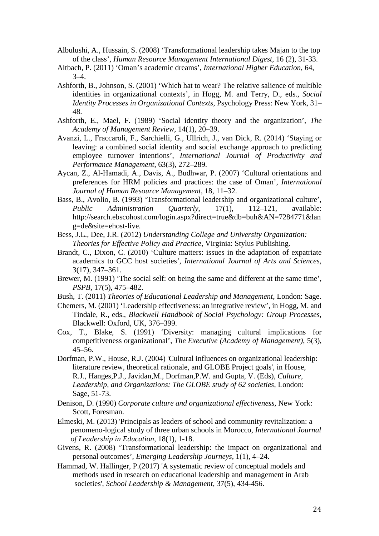- Albulushi, A., Hussain, S. (2008) 'Transformational leadership takes Majan to the top of the class', *Human Resource Management International Digest*, 16 (2), 31-33.
- Altbach, P. (2011) 'Oman's academic dreams', *International Higher Education*, 64, 3–4.
- Ashforth, B., Johnson, S. (2001) 'Which hat to wear? The relative salience of multible identities in organizational contexts', in Hogg, M. and Terry, D., eds., *Social Identity Processes in Organizational Contexts*, Psychology Press: New York, 31– 48.
- Ashforth, E., Mael, F. (1989) 'Social identity theory and the organization', *The Academy of Management Review*, 14(1), 20–39.
- Avanzi, L., Fraccaroli, F., Sarchielli, G., Ullrich, J., van Dick, R. (2014) 'Staying or leaving: a combined social identity and social exchange approach to predicting employee turnover intentions', *International Journal of Productivity and Performance Management*, 63(3), 272–289.
- Aycan, Z., Al-Hamadi, A., Davis, A., Budhwar, P. (2007) 'Cultural orientations and preferences for HRM policies and practices: the case of Oman', *International Journal of Human Resource Management*, 18, 11–32.
- Bass, B., Avolio, B. (1993) 'Transformational leadership and organizational culture', *Public Administration Quarterly*, 17(1), 112–121, available: http://search.ebscohost.com/login.aspx?direct=true&db=buh&AN=7284771&lan g=de&site=ehost-live.
- Bess, J.L., Dee, J.R. (2012) *Understanding College and University Organization: Theories for Effective Policy and Practice*, Virginia: Stylus Publishing.
- Brandt, C., Dixon, C. (2010) 'Culture matters: issues in the adaptation of expatriate academics to GCC host societies', *International Journal of Arts and Sciences*, 3(17), 347–361.
- Brewer, M. (1991) 'The social self: on being the same and different at the same time', *PSPB*, 17(5), 475–482.
- Bush, T. (2011) *Theories of Educational Leadership and Management*, London: Sage.
- Chemers, M. (2001) 'Leadership effectiveness: an integrative review', in Hogg, M. and Tindale, R., eds., *Blackwell Handbook of Social Psychology: Group Processes*, Blackwell: Oxford, UK, 376–399.
- Cox, T., Blake, S. (1991) 'Diversity: managing cultural implications for competitiveness organizational', *The Executive (Academy of Management)*, 5(3), 45–56.
- Dorfman, P.W., House, R.J. (2004) 'Cultural influences on organizational leadership: literature review, theoretical rationale, and GLOBE Project goals', in House, R.J., Hanges,P.J., Javidan,M., Dorfman,P.W. and Gupta, V. (Eds), *Culture, Leadership, and Organizations: The GLOBE study of 62 societies*, London: Sage, 51-73.
- Denison, D. (1990) *Corporate culture and organizational effectiveness,* New York: Scott, Foresman.
- Elmeski, M. (2013) 'Principals as leaders of school and community revitalization: a penomeno-logical study of three urban schools in Morocco, *International Journal of Leadership in Education*, 18(1), 1-18.
- Givens, R. (2008) 'Transformational leadership: the impact on organizational and personal outcomes', *Emerging Leadership Journeys*, 1(1), 4–24.
- Hammad, W. Hallinger, P.(2017) 'A systematic review of conceptual models and methods used in research on educational leadership and management in Arab societies', *School Leadership & Management*, 37(5), 434-456.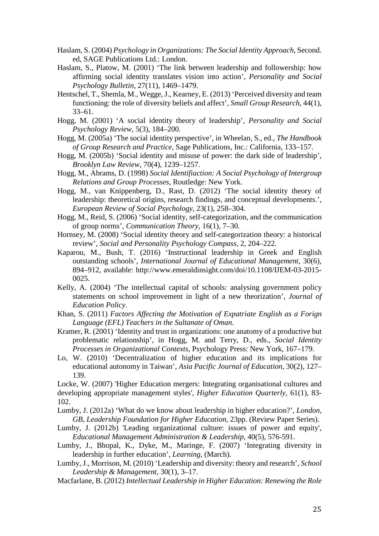- Haslam, S. (2004) *Psychology in Organizations: The Social Identity Approach*, Second. ed, SAGE Publications Ltd.: London.
- Haslam, S., Platow, M. (2001) 'The link between leadership and followership: how affirming social identity translates vision into action', *Personality and Social Psychology Bulletin*, 27(11), 1469–1479.
- Hentschel, T., Shemla, M., Wegge, J., Kearney, E. (2013) 'Perceived diversity and team functioning: the role of diversity beliefs and affect', *Small Group Research*, 44(1), 33–61.
- Hogg, M. (2001) 'A social identity theory of leadership', *Personality and Social Psychology Review*, 5(3), 184–200.
- Hogg, M. (2005a) 'The social identity perspective', in Wheelan, S., ed., *The Handbook of Group Research and Practice*, Sage Publications, Inc.: California, 133–157.
- Hogg, M. (2005b) 'Social identity and misuse of power: the dark side of leadership', *Brooklyn Law Review*, 70(4), 1239–1257.
- Hogg, M., Abrams, D. (1998) *Social Identifiaction: A Social Psychology of Intergroup Relations and Group Processes*, Routledge: New York.
- Hogg, M., van Knippenberg, D., Rast, D. (2012) 'The social identity theory of leadership: theoretical origins, research findings, and conceptual developments.', *European Review of Social Psychology*, 23(1), 258–304.
- Hogg, M., Reid, S. (2006) 'Social identity, self-categorization, and the communication of group norms', *Communication Theory*, 16(1), 7–30.
- Hornsey, M. (2008) 'Social identity theory and self-categorization theory: a historical review', *Social and Personality Psychology Compass*, 2, 204–222.
- Kaparou, M., Bush, T. (2016) 'Instructional leadership in Greek and English outstanding schools', *International Journal of Educational Management*, 30(6), 894–912, available: http://www.emeraldinsight.com/doi/10.1108/IJEM-03-2015- 0025.
- Kelly, A. (2004) 'The intellectual capital of schools: analysing government policy statements on school improvement in light of a new theorization', *Journal of Education Policy*.
- Khan, S. (2011) *Factors Affecting the Motivation of Expatriate English as a Forign Language (EFL) Teachers in the Sultanate of Oman*.
- Kramer, R. (2001) 'Identity and trust in organizations: one anatomy of a productive but problematic relationship', in Hogg, M. and Terry, D., eds., *Social Identity Processes in Organizational Contexts*, Psychology Press: New York, 167–179.
- Lo, W. (2010) 'Decentralization of higher education and its implications for educational autonomy in Taiwan', *Asia Pacific Journal of Education*, 30(2), 127– 139.

Locke, W. (2007) 'Higher Education mergers: Integrating organisational cultures and developing appropriate management styles', *Higher Education Quarterly,* 61(1), 83- 102.

Lumby, J. (2012a) 'What do we know about leadership in higher education?', *London, GB, Leadership Foundation for Higher Education,* 23pp. (Review Paper Series).

- Lumby, J. (2012b) 'Leading organizational culture: issues of power and equity', *Educational Management Administration & Leadership*, 40(5), 576-591.
- Lumby, J., Bhopal, K., Dyke, M., Maringe, F. (2007) 'Integrating diversity in leadership in further education', *Learning*, (March).
- Lumby, J., Morrison, M. (2010) 'Leadership and diversity: theory and research', *School Leadership & Management*, 30(1), 3–17.
- Macfarlane, B. (2012) *Intellectual Leadership in Higher Education: Renewing the Role*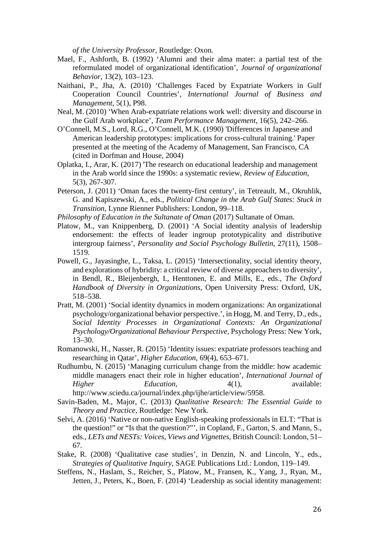*of the University Professor*, Routledge: Oxon.

- Mael, F., Ashforth, B. (1992) 'Alumni and their alma mater: a partial test of the reformulated model of organizational identification', *Journal of organizational Behavior*, 13(2), 103–123.
- Naithani, P., Jha, A. (2010) 'Challenges Faced by Expatriate Workers in Gulf Cooperation Council Countries', *International Journal of Business and Management*, 5(1), P98.
- Neal, M. (2010) 'When Arab-expatriate relations work well: diversity and discourse in the Gulf Arab workplace', *Team Performance Management*, 16(5), 242–266.
- O'Connell, M.S., Lord, R.G., O'Connell, M.K. (1990) 'Differences in Japanese and American leadership prototypes: implications for cross-cultural training.' Paper presented at the meeting of the Academy of Management, San Francisco, CA (cited in Dorfman and House, 2004)
- Oplatka, I., Arar, K. (2017) 'The research on educational leadership and management in the Arab world since the 1990s: a systematic review, *Review of Education*, 5(3), 267-307.
- Peterson, J. (2011) 'Oman faces the twenty-first century', in Tetreault, M., Okruhlik, G. and Kapiszewski, A., eds., *Political Change in the Arab Gulf States: Stuck in Transition*, Lynne Rienner Publishers: London, 99–118.
- *Philosophy of Education in the Sultanate of Oman* (2017) Sultanate of Oman.
- Platow, M., van Knippenberg, D. (2001) 'A Social identity analysis of leadership endorsement: the effects of leader ingroup prototypicality and distributive intergroup fairness', *Personality and Social Psychology Bulletin*, 27(11), 1508– 1519.
- Powell, G., Jayasinghe, L., Taksa, L. (2015) 'Intersectionality, social identity theory, and explorations of hybridity: a critical review of diverse approachers to diversity', in Bendl, R., Bleijenbergh, I., Henttonen, E. and Mills, E., eds., *The Oxford Handbook of Diversity in Organizations*, Open University Press: Oxford, UK, 518–538.
- Pratt, M. (2001) 'Social identity dynamics in modern organizations: An organizational psychology/organizational behavior perspective.', in Hogg, M. and Terry, D., eds., *Social Identity Processes in Organizational Contexts: An Organizational Psychology/Organizational Behaviour Perspective*, Psychology Press: New York, 13–30.
- Romanowski, H., Nasser, R. (2015) 'Identity issues: expatriate professors teaching and researching in Qatar', *Higher Education*, 69(4), 653–671.
- Rudhumbu, N. (2015) 'Managing curriculum change from the middle: how academic middle managers enact their role in higher education', *International Journal of Higher Education*, 4(1), available: http://www.sciedu.ca/journal/index.php/ijhe/article/view/5958.
- Savin-Baden, M., Major, C. (2013) *Qualitative Research: The Essential Guide to Theory and Practice*, Routledge: New York.
- Selvi, A. (2016) 'Native or non-native English-speaking professionals in ELT: "That is the question!" or "Is that the question?"', in Copland, F., Garton, S. and Mann, S., eds., *LETs and NESTs: Voices, Views and Vignettes*, British Council: London, 51– 67.
- Stake, R. (2008) 'Qualitative case studies', in Denzin, N. and Lincoln, Y., eds., *Strategies of Qualitative Inquiry*, SAGE Publications Ltd.: London, 119–149.
- Steffens, N., Haslam, S., Reicher, S., Platow, M., Fransen, K., Yang, J., Ryan, M., Jetten, J., Peters, K., Boen, F. (2014) 'Leadership as social identity management: